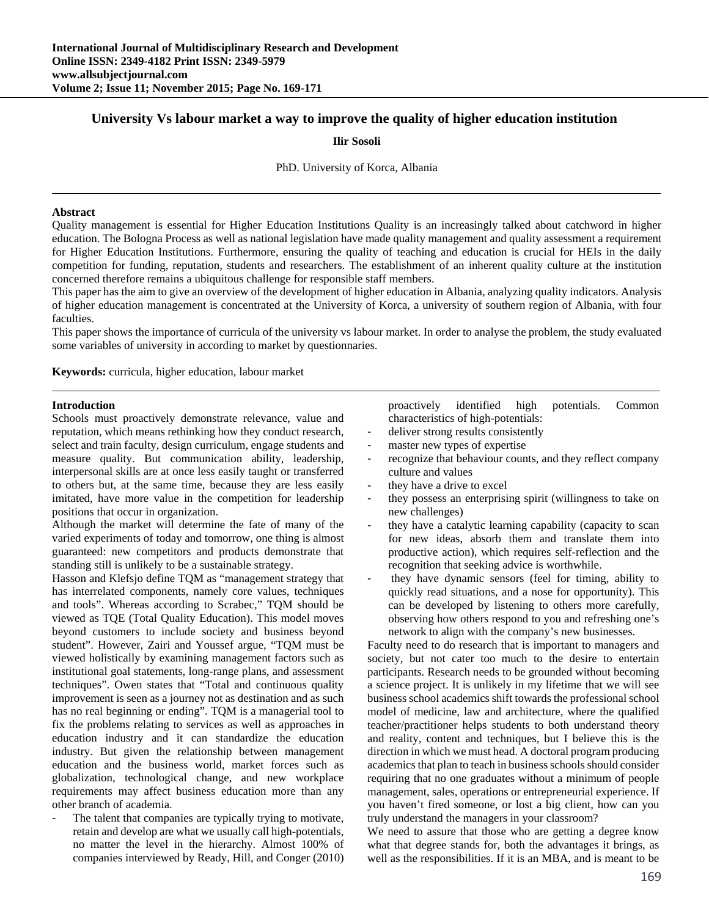# **University Vs labour market a way to improve the quality of higher education institution**

### **Ilir Sosoli**

#### PhD. University of Korca, Albania

### **Abstract**

Quality management is essential for Higher Education Institutions Quality is an increasingly talked about catchword in higher education. The Bologna Process as well as national legislation have made quality management and quality assessment a requirement for Higher Education Institutions. Furthermore, ensuring the quality of teaching and education is crucial for HEIs in the daily competition for funding, reputation, students and researchers. The establishment of an inherent quality culture at the institution concerned therefore remains a ubiquitous challenge for responsible staff members.

This paper has the aim to give an overview of the development of higher education in Albania, analyzing quality indicators. Analysis of higher education management is concentrated at the University of Korca, a university of southern region of Albania, with four faculties.

This paper shows the importance of curricula of the university vs labour market. In order to analyse the problem, the study evaluated some variables of university in according to market by questionnaries.

**Keywords:** curricula, higher education, labour market

#### **Introduction**

Schools must proactively demonstrate relevance, value and reputation, which means rethinking how they conduct research, select and train faculty, design curriculum, engage students and measure quality. But communication ability, leadership, interpersonal skills are at once less easily taught or transferred to others but, at the same time, because they are less easily imitated, have more value in the competition for leadership positions that occur in organization.

Although the market will determine the fate of many of the varied experiments of today and tomorrow, one thing is almost guaranteed: new competitors and products demonstrate that standing still is unlikely to be a sustainable strategy.

Hasson and Klefsjo define TQM as "management strategy that has interrelated components, namely core values, techniques and tools". Whereas according to Scrabec," TQM should be viewed as TQE (Total Quality Education). This model moves beyond customers to include society and business beyond student". However, Zairi and Youssef argue, "TQM must be viewed holistically by examining management factors such as institutional goal statements, long-range plans, and assessment techniques". Owen states that "Total and continuous quality improvement is seen as a journey not as destination and as such has no real beginning or ending". TQM is a managerial tool to fix the problems relating to services as well as approaches in education industry and it can standardize the education industry. But given the relationship between management education and the business world, market forces such as globalization, technological change, and new workplace requirements may affect business education more than any other branch of academia.

The talent that companies are typically trying to motivate, retain and develop are what we usually call high-potentials, no matter the level in the hierarchy. Almost 100% of companies interviewed by Ready, Hill, and Conger (2010) proactively identified high potentials. Common characteristics of high-potentials:

- deliver strong results consistently
- master new types of expertise
- recognize that behaviour counts, and they reflect company culture and values
- they have a drive to excel
- they possess an enterprising spirit (willingness to take on new challenges)
- they have a catalytic learning capability (capacity to scan for new ideas, absorb them and translate them into productive action), which requires self-reflection and the recognition that seeking advice is worthwhile.
- they have dynamic sensors (feel for timing, ability to quickly read situations, and a nose for opportunity). This can be developed by listening to others more carefully, observing how others respond to you and refreshing one's network to align with the company's new businesses.

Faculty need to do research that is important to managers and society, but not cater too much to the desire to entertain participants. Research needs to be grounded without becoming a science project. It is unlikely in my lifetime that we will see business school academics shift towards the professional school model of medicine, law and architecture, where the qualified teacher/practitioner helps students to both understand theory and reality, content and techniques, but I believe this is the direction in which we must head. A doctoral program producing academics that plan to teach in business schools should consider requiring that no one graduates without a minimum of people management, sales, operations or entrepreneurial experience. If you haven't fired someone, or lost a big client, how can you truly understand the managers in your classroom?

We need to assure that those who are getting a degree know what that degree stands for, both the advantages it brings, as well as the responsibilities. If it is an MBA, and is meant to be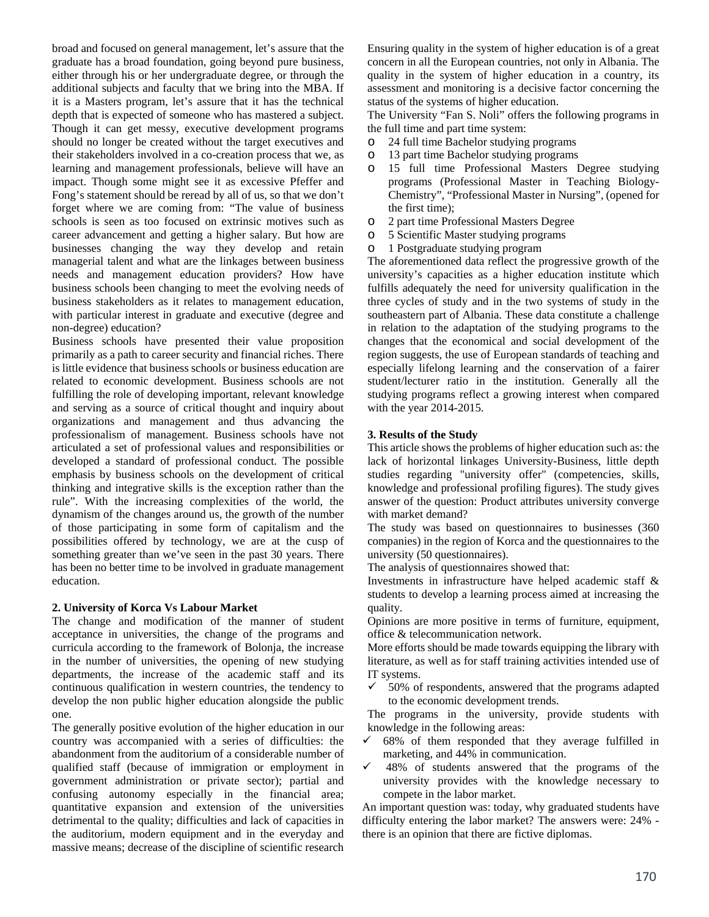broad and focused on general management, let's assure that the graduate has a broad foundation, going beyond pure business, either through his or her undergraduate degree, or through the additional subjects and faculty that we bring into the MBA. If it is a Masters program, let's assure that it has the technical depth that is expected of someone who has mastered a subject. Though it can get messy, executive development programs should no longer be created without the target executives and their stakeholders involved in a co-creation process that we, as learning and management professionals, believe will have an impact. Though some might see it as excessive Pfeffer and Fong's statement should be reread by all of us, so that we don't forget where we are coming from: "The value of business schools is seen as too focused on extrinsic motives such as career advancement and getting a higher salary. But how are businesses changing the way they develop and retain managerial talent and what are the linkages between business needs and management education providers? How have business schools been changing to meet the evolving needs of business stakeholders as it relates to management education, with particular interest in graduate and executive (degree and non-degree) education?

Business schools have presented their value proposition primarily as a path to career security and financial riches. There is little evidence that business schools or business education are related to economic development. Business schools are not fulfilling the role of developing important, relevant knowledge and serving as a source of critical thought and inquiry about organizations and management and thus advancing the professionalism of management. Business schools have not articulated a set of professional values and responsibilities or developed a standard of professional conduct. The possible emphasis by business schools on the development of critical thinking and integrative skills is the exception rather than the rule". With the increasing complexities of the world, the dynamism of the changes around us, the growth of the number of those participating in some form of capitalism and the possibilities offered by technology, we are at the cusp of something greater than we've seen in the past 30 years. There has been no better time to be involved in graduate management education.

# **2. University of Korca Vs Labour Market**

The change and modification of the manner of student acceptance in universities, the change of the programs and curricula according to the framework of Bolonja, the increase in the number of universities, the opening of new studying departments, the increase of the academic staff and its continuous qualification in western countries, the tendency to develop the non public higher education alongside the public one.

The generally positive evolution of the higher education in our country was accompanied with a series of difficulties: the abandonment from the auditorium of a considerable number of qualified staff (because of immigration or employment in government administration or private sector); partial and confusing autonomy especially in the financial area; quantitative expansion and extension of the universities detrimental to the quality; difficulties and lack of capacities in the auditorium, modern equipment and in the everyday and massive means; decrease of the discipline of scientific research

Ensuring quality in the system of higher education is of a great concern in all the European countries, not only in Albania. The quality in the system of higher education in a country, its assessment and monitoring is a decisive factor concerning the status of the systems of higher education.

The University "Fan S. Noli" offers the following programs in the full time and part time system:

- o 24 full time Bachelor studying programs
- o 13 part time Bachelor studying programs
- o 15 full time Professional Masters Degree studying programs (Professional Master in Teaching Biology-Chemistry", "Professional Master in Nursing", (opened for the first time);
- o 2 part time Professional Masters Degree
- o 5 Scientific Master studying programs
- o 1 Postgraduate studying program

The aforementioned data reflect the progressive growth of the university's capacities as a higher education institute which fulfills adequately the need for university qualification in the three cycles of study and in the two systems of study in the southeastern part of Albania. These data constitute a challenge in relation to the adaptation of the studying programs to the changes that the economical and social development of the region suggests, the use of European standards of teaching and especially lifelong learning and the conservation of a fairer student/lecturer ratio in the institution. Generally all the studying programs reflect a growing interest when compared with the year 2014-2015.

### **3. Results of the Study**

This article shows the problems of higher education such as: the lack of horizontal linkages University-Business, little depth studies regarding "university offer" (competencies, skills, knowledge and professional profiling figures). The study gives answer of the question: Product attributes university converge with market demand?

The study was based on questionnaires to businesses (360 companies) in the region of Korca and the questionnaires to the university (50 questionnaires).

The analysis of questionnaires showed that:

Investments in infrastructure have helped academic staff & students to develop a learning process aimed at increasing the quality.

Opinions are more positive in terms of furniture, equipment, office & telecommunication network.

More efforts should be made towards equipping the library with literature, as well as for staff training activities intended use of IT systems.

 $\checkmark$  50% of respondents, answered that the programs adapted to the economic development trends.

The programs in the university, provide students with knowledge in the following areas:

- $\checkmark$  68% of them responded that they average fulfilled in marketing, and 44% in communication.
- $\checkmark$  48% of students answered that the programs of the university provides with the knowledge necessary to compete in the labor market.

An important question was: today, why graduated students have difficulty entering the labor market? The answers were: 24% there is an opinion that there are fictive diplomas.